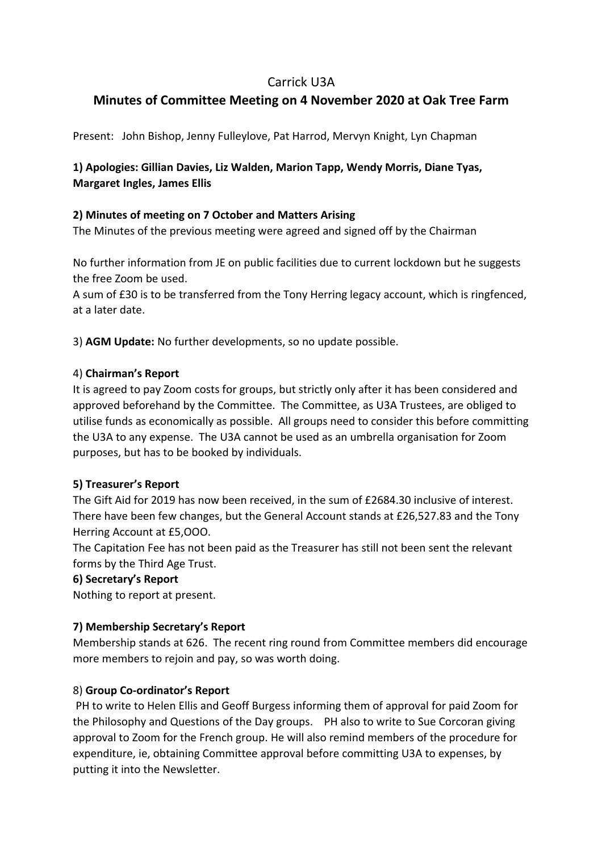## Carrick U3A

# **Minutes of Committee Meeting on 4 November 2020 at Oak Tree Farm**

Present: John Bishop, Jenny Fulleylove, Pat Harrod, Mervyn Knight, Lyn Chapman

## **1) Apologies: Gillian Davies, Liz Walden, Marion Tapp, Wendy Morris, Diane Tyas, Margaret Ingles, James Ellis**

### **2) Minutes of meeting on 7 October and Matters Arising**

The Minutes of the previous meeting were agreed and signed off by the Chairman

No further information from JE on public facilities due to current lockdown but he suggests the free Zoom be used.

A sum of £30 is to be transferred from the Tony Herring legacy account, which is ringfenced, at a later date.

3) **AGM Update:** No further developments, so no update possible.

#### 4) **Chairman's Report**

It is agreed to pay Zoom costs for groups, but strictly only after it has been considered and approved beforehand by the Committee. The Committee, as U3A Trustees, are obliged to utilise funds as economically as possible. All groups need to consider this before committing the U3A to any expense. The U3A cannot be used as an umbrella organisation for Zoom purposes, but has to be booked by individuals.

#### **5) Treasurer's Report**

The Gift Aid for 2019 has now been received, in the sum of £2684.30 inclusive of interest. There have been few changes, but the General Account stands at £26,527.83 and the Tony Herring Account at £5,OOO.

The Capitation Fee has not been paid as the Treasurer has still not been sent the relevant forms by the Third Age Trust.

#### **6) Secretary's Report**

Nothing to report at present.

## **7) Membership Secretary's Report**

Membership stands at 626. The recent ring round from Committee members did encourage more members to rejoin and pay, so was worth doing.

## 8) **Group Co-ordinator's Report**

 PH to write to Helen Ellis and Geoff Burgess informing them of approval for paid Zoom for the Philosophy and Questions of the Day groups. PH also to write to Sue Corcoran giving approval to Zoom for the French group. He will also remind members of the procedure for expenditure, ie, obtaining Committee approval before committing U3A to expenses, by putting it into the Newsletter.